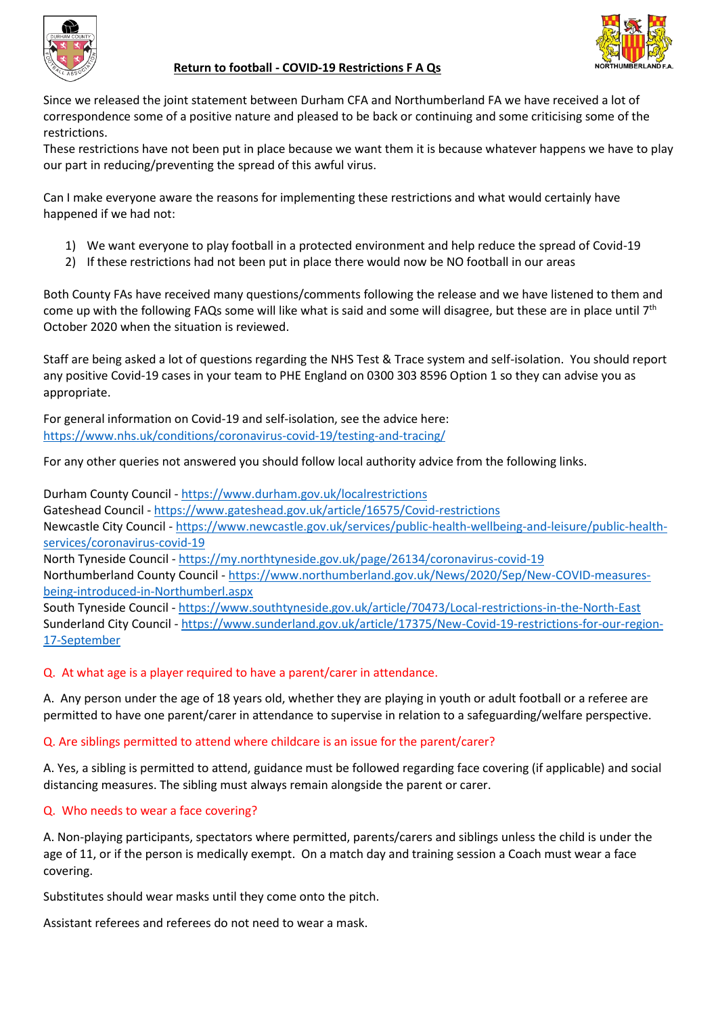

# **Return to football - COVID-19 Restrictions F A Qs**



Since we released the joint statement between Durham CFA and Northumberland FA we have received a lot of correspondence some of a positive nature and pleased to be back or continuing and some criticising some of the restrictions.

These restrictions have not been put in place because we want them it is because whatever happens we have to play our part in reducing/preventing the spread of this awful virus.

Can I make everyone aware the reasons for implementing these restrictions and what would certainly have happened if we had not:

- 1) We want everyone to play football in a protected environment and help reduce the spread of Covid-19
- 2) If these restrictions had not been put in place there would now be NO football in our areas

Both County FAs have received many questions/comments following the release and we have listened to them and come up with the following FAQs some will like what is said and some will disagree, but these are in place until  $7<sup>th</sup>$ October 2020 when the situation is reviewed.

Staff are being asked a lot of questions regarding the NHS Test & Trace system and self-isolation. You should report any positive Covid-19 cases in your team to PHE England on 0300 303 8596 Option 1 so they can advise you as appropriate.

For general information on Covid-19 and self-isolation, see the advice here: <https://www.nhs.uk/conditions/coronavirus-covid-19/testing-and-tracing/>

For any other queries not answered you should follow local authority advice from the following links.

Durham County Council - <https://www.durham.gov.uk/localrestrictions> Gateshead Council - <https://www.gateshead.gov.uk/article/16575/Covid-restrictions> Newcastle City Council - [https://www.newcastle.gov.uk/services/public-health-wellbeing-and-leisure/public-health](https://www.newcastle.gov.uk/services/public-health-wellbeing-and-leisure/public-health-services/coronavirus-covid-19)[services/coronavirus-covid-19](https://www.newcastle.gov.uk/services/public-health-wellbeing-and-leisure/public-health-services/coronavirus-covid-19)

North Tyneside Council - <https://my.northtyneside.gov.uk/page/26134/coronavirus-covid-19> Northumberland County Council - [https://www.northumberland.gov.uk/News/2020/Sep/New-COVID-measures](https://www.northumberland.gov.uk/News/2020/Sep/New-COVID-measures-being-introduced-in-Northumberl.aspx)[being-introduced-in-Northumberl.aspx](https://www.northumberland.gov.uk/News/2020/Sep/New-COVID-measures-being-introduced-in-Northumberl.aspx)

South Tyneside Council - <https://www.southtyneside.gov.uk/article/70473/Local-restrictions-in-the-North-East> Sunderland City Council - [https://www.sunderland.gov.uk/article/17375/New-Covid-19-restrictions-for-our-region-](https://www.sunderland.gov.uk/article/17375/New-Covid-19-restrictions-for-our-region-17-September)[17-September](https://www.sunderland.gov.uk/article/17375/New-Covid-19-restrictions-for-our-region-17-September)

Q. At what age is a player required to have a parent/carer in attendance.

A. Any person under the age of 18 years old, whether they are playing in youth or adult football or a referee are permitted to have one parent/carer in attendance to supervise in relation to a safeguarding/welfare perspective.

Q. Are siblings permitted to attend where childcare is an issue for the parent/carer?

A. Yes, a sibling is permitted to attend, guidance must be followed regarding face covering (if applicable) and social distancing measures. The sibling must always remain alongside the parent or carer.

# Q. Who needs to wear a face covering?

A. Non-playing participants, spectators where permitted, parents/carers and siblings unless the child is under the age of 11, or if the person is medically exempt. On a match day and training session a Coach must wear a face covering.

Substitutes should wear masks until they come onto the pitch.

Assistant referees and referees do not need to wear a mask.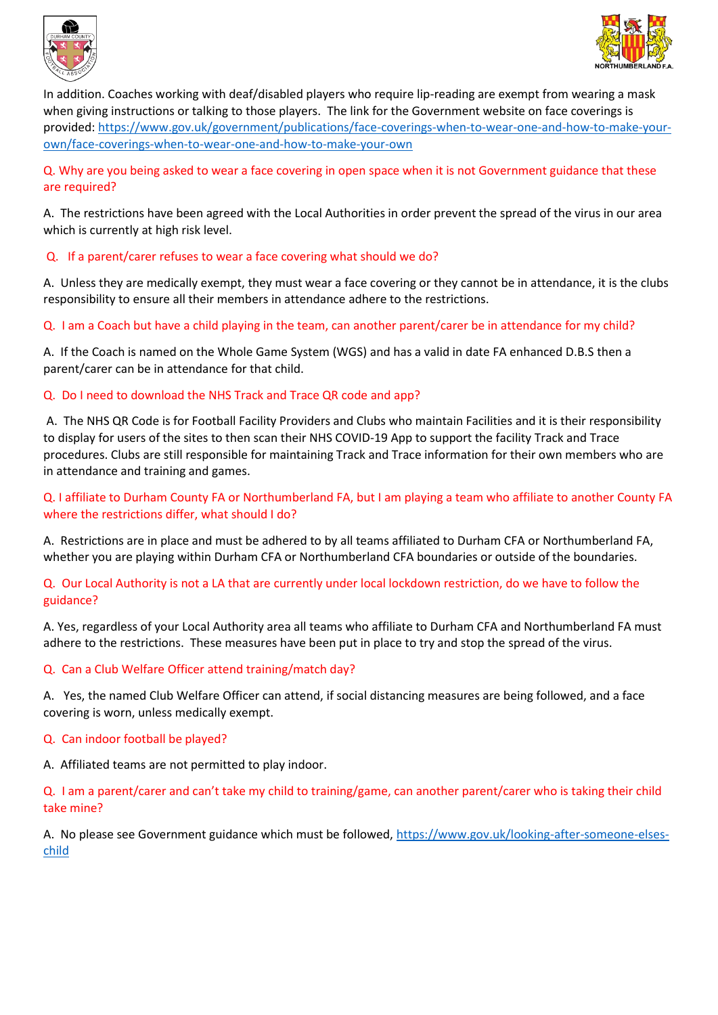



In addition. Coaches working with deaf/disabled players who require lip-reading are exempt from wearing a mask when giving instructions or talking to those players. The link for the Government website on face coverings is provided: [https://www.gov.uk/government/publications/face-coverings-when-to-wear-one-and-how-to-make-your](https://www.gov.uk/government/publications/face-coverings-when-to-wear-one-and-how-to-make-your-own/face-coverings-when-to-wear-one-and-how-to-make-your-own)[own/face-coverings-when-to-wear-one-and-how-to-make-your-own](https://www.gov.uk/government/publications/face-coverings-when-to-wear-one-and-how-to-make-your-own/face-coverings-when-to-wear-one-and-how-to-make-your-own)

Q. Why are you being asked to wear a face covering in open space when it is not Government guidance that these are required?

A. The restrictions have been agreed with the Local Authorities in order prevent the spread of the virus in our area which is currently at high risk level.

# Q. If a parent/carer refuses to wear a face covering what should we do?

A. Unless they are medically exempt, they must wear a face covering or they cannot be in attendance, it is the clubs responsibility to ensure all their members in attendance adhere to the restrictions.

Q. I am a Coach but have a child playing in the team, can another parent/carer be in attendance for my child?

A. If the Coach is named on the Whole Game System (WGS) and has a valid in date FA enhanced D.B.S then a parent/carer can be in attendance for that child.

## Q. Do I need to download the NHS Track and Trace QR code and app?

A. The NHS QR Code is for Football Facility Providers and Clubs who maintain Facilities and it is their responsibility to display for users of the sites to then scan their NHS COVID-19 App to support the facility Track and Trace procedures. Clubs are still responsible for maintaining Track and Trace information for their own members who are in attendance and training and games.

Q. I affiliate to Durham County FA or Northumberland FA, but I am playing a team who affiliate to another County FA where the restrictions differ, what should I do?

A. Restrictions are in place and must be adhered to by all teams affiliated to Durham CFA or Northumberland FA, whether you are playing within Durham CFA or Northumberland CFA boundaries or outside of the boundaries.

Q. Our Local Authority is not a LA that are currently under local lockdown restriction, do we have to follow the guidance?

A. Yes, regardless of your Local Authority area all teams who affiliate to Durham CFA and Northumberland FA must adhere to the restrictions. These measures have been put in place to try and stop the spread of the virus.

### Q. Can a Club Welfare Officer attend training/match day?

A. Yes, the named Club Welfare Officer can attend, if social distancing measures are being followed, and a face covering is worn, unless medically exempt.

### Q. Can indoor football be played?

A. Affiliated teams are not permitted to play indoor.

Q. I am a parent/carer and can't take my child to training/game, can another parent/carer who is taking their child take mine?

A. No please see Government guidance which must be followed[, https://www.gov.uk/looking-after-someone-elses](https://www.gov.uk/looking-after-someone-elses-child)[child](https://www.gov.uk/looking-after-someone-elses-child)